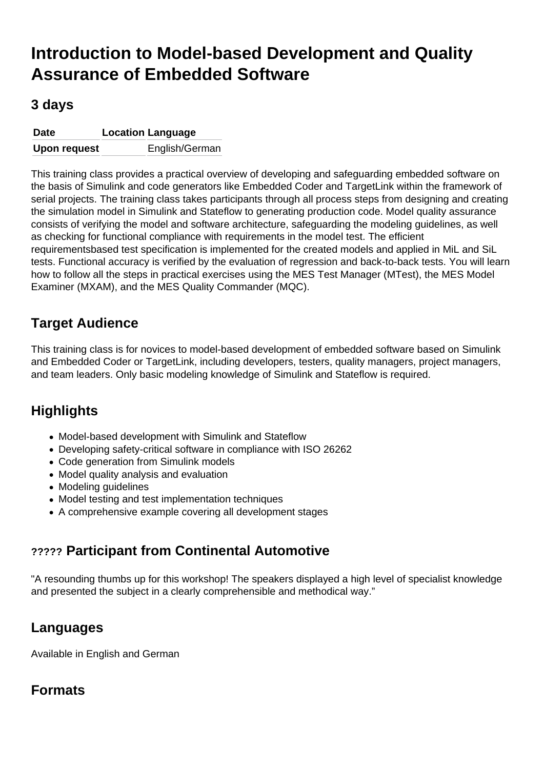# Introduction to Model-based Development and Quality Assurance of Embedded Software

# 3 days

| Date         | Location Language |
|--------------|-------------------|
| Upon request | English/German    |

This training class provides a practical overview of developing and safeguarding embedded software on the basis of Simulink and code generators like Embedded Coder and TargetLink within the framework of serial projects. The training class takes participants through all process steps from designing and creating the simulation model in Simulink and Stateflow to generating production code. Model quality assurance consists of verifying the model and software architecture, safeguarding the modeling guidelines, as well as checking for functional compliance with requirements in the model test. The efficient requirementsbased test specification is implemented for the created models and applied in MiL and SiL tests. Functional accuracy is verified by the evaluation of regression and back-to-back tests. You will learn how to follow all the steps in practical exercises using the MES Test Manager (MTest), the MES Model Examiner (MXAM), and the MES Quality Commander (MQC).

# Target Audience

This training class is for novices to model-based development of embedded software based on Simulink and Embedded Coder or TargetLink, including developers, testers, quality managers, project managers, and team leaders. Only basic modeling knowledge of Simulink and Stateflow is required.

# **Highlights**

- Model-based development with Simulink and Stateflow
- Developing safety-critical software in compliance with ISO 26262
- Code generation from Simulink models
- Model quality analysis and evaluation
- Modeling guidelines
- Model testing and test implementation techniques
- A comprehensive example covering all development stages

# ????? Participant from Continental Automotive

"A resounding thumbs up for this workshop! The speakers displayed a high level of specialist knowledge and presented the subject in a clearly comprehensible and methodical way."

# Languages

Available in English and German

# Formats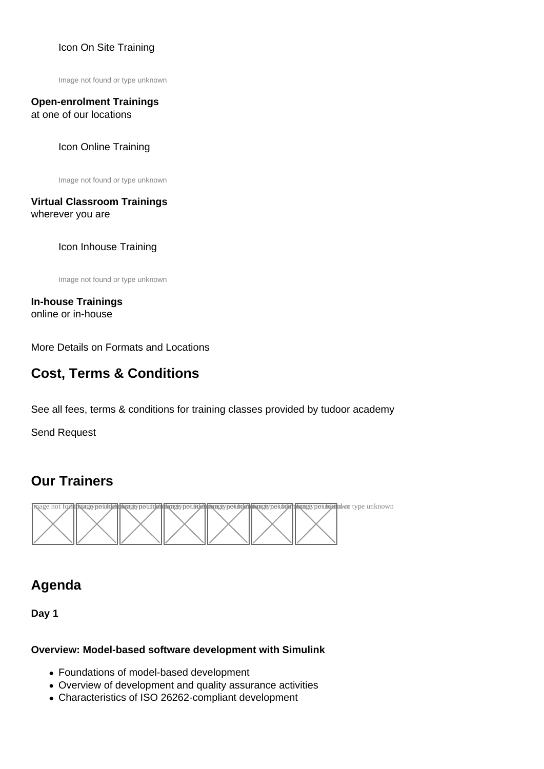### [Icon On Site Training](https://model-engineers.com/en/tudoor-academy/trainers/)

Image not found or type unknown

#### Open-enrolment Trainings at one of our locations

#### Icon Online Training

Image not found or type unknown

#### Virtual Classroom Trainings wherever you are

#### Icon Inhouse Training

Image not found or type unknown

In-house Trainings online or in-house

[More Details on Formats and Locations](https://model-engineers.com/en/tudoor-academy/locations/)

# Cost, Terms & Conditions

See all fees, terms & conditions for training classes provided by tudoor academy

[Send Request](mailto:training@tudoor.com?subject=tudoor academy | Training Request)

# Our Trainers



# Agenda

Day 1

Overview: Model-based software development with Simulink

- Foundations of model-based development
- Overview of development and quality assurance activities
- Characteristics of ISO 26262-compliant development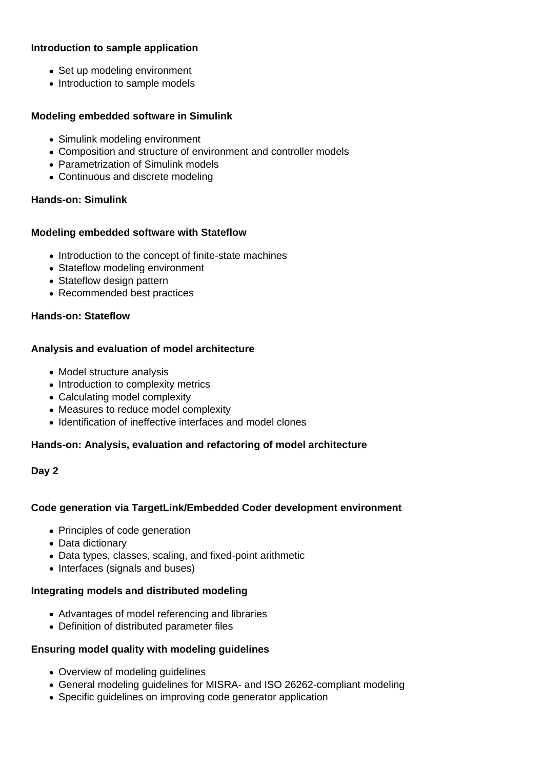#### **Introduction to sample application**

- Set up modeling environment
- Introduction to sample models

#### **Modeling embedded software in Simulink**

- Simulink modeling environment
- Composition and structure of environment and controller models
- Parametrization of Simulink models
- Continuous and discrete modeling

#### **Hands-on: Simulink**

#### **Modeling embedded software with Stateflow**

- Introduction to the concept of finite-state machines
- Stateflow modeling environment
- Stateflow design pattern
- Recommended best practices

#### **Hands-on: Stateflow**

#### **Analysis and evaluation of model architecture**

- Model structure analysis
- Introduction to complexity metrics
- Calculating model complexity
- Measures to reduce model complexity
- Identification of ineffective interfaces and model clones

#### **Hands-on: Analysis, evaluation and refactoring of model architecture**

#### **Day 2**

#### **Code generation via TargetLink/Embedded Coder development environment**

- Principles of code generation
- Data dictionary
- Data types, classes, scaling, and fixed-point arithmetic
- Interfaces (signals and buses)

#### **Integrating models and distributed modeling**

- Advantages of model referencing and libraries
- Definition of distributed parameter files

#### **Ensuring model quality with modeling guidelines**

- Overview of modeling guidelines
- General modeling guidelines for MISRA- and ISO 26262-compliant modeling
- Specific guidelines on improving code generator application